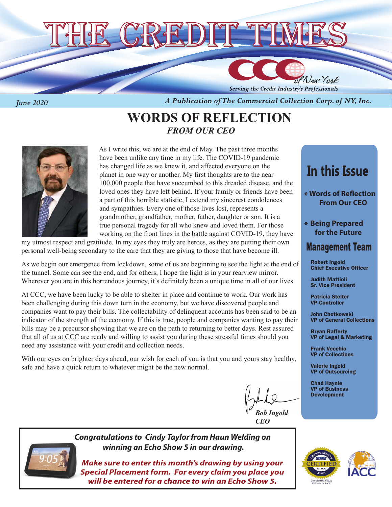



A Publication of The Commercial Collection Corp. of NY, Inc.

## **WORDS OF REFLECTION** *FROM OUR CEO*



*June 2020*

 As I write this, we are at the end of May. The past three months have been unlike any time in my life. The COVID-19 pandemic has changed life as we knew it, and affected everyone on the planet in one way or another. My first thoughts are to the near 100,000 people that have succumbed to this dreaded disease, and the loved ones they have left behind. If your family or friends have been a part of this horrible statistic, I extend my sincerest condolences and sympathies. Every one of those lives lost, represents a grandmother, grandfather, mother, father, daughter or son. It is a true personal tragedy for all who knew and loved them. For those working on the front lines in the battle against COVID-19, they have

my utmost respect and gratitude. In my eyes they truly are heroes, as they are putting their own personal well-being secondary to the care that they are giving to those that have become ill.

As we begin our emergence from lockdown, some of us are beginning to see the light at the end of the tunnel. Some can see the end, and for others, I hope the light is in your rearview mirror. Wherever you are in this horrendous journey, it's definitely been a unique time in all of our lives.

At CCC, we have been lucky to be able to shelter in place and continue to work. Our work has been challenging during this down turn in the economy, but we have discovered people and companies want to pay their bills. The collectability of delinquent accounts has been said to be an indicator of the strength of the economy. If this is true, people and companies wanting to pay their bills may be a precursor showing that we are on the path to returning to better days. Rest assured that all of us at CCC are ready and willing to assist you during these stressful times should you need any assistance with your credit and collection needs.

With our eyes on brighter days ahead, our wish for each of you is that you and yours stay healthy, safe and have a quick return to whatever might be the new normal.

*Bob Ingold CEO*

*Congratulations to Cindy Taylor from Haun Welding on winning an Echo Show 5 in our drawing.*





*Make sure to enter this month's drawing by using your Special Placement form. For every claim you place you will be entered for a chance to win an Echo Show 5.* 

## In this Issue

**Words of Reection From Our CEO**

**Being Prepared for the Future**

## **Management Team**

Robert Ingold Chief Executive Officer

Judith Mattioli Sr. Vice President

Patricia Stelter VP-Controller

John Chotkowski VP of General Collections

Bryan Rafferty VP of Legal & Marketing

Frank Vecchio VP of Collections

Valerie Ingold VP of Outsourcing

Chad Haynie VP of Business Development